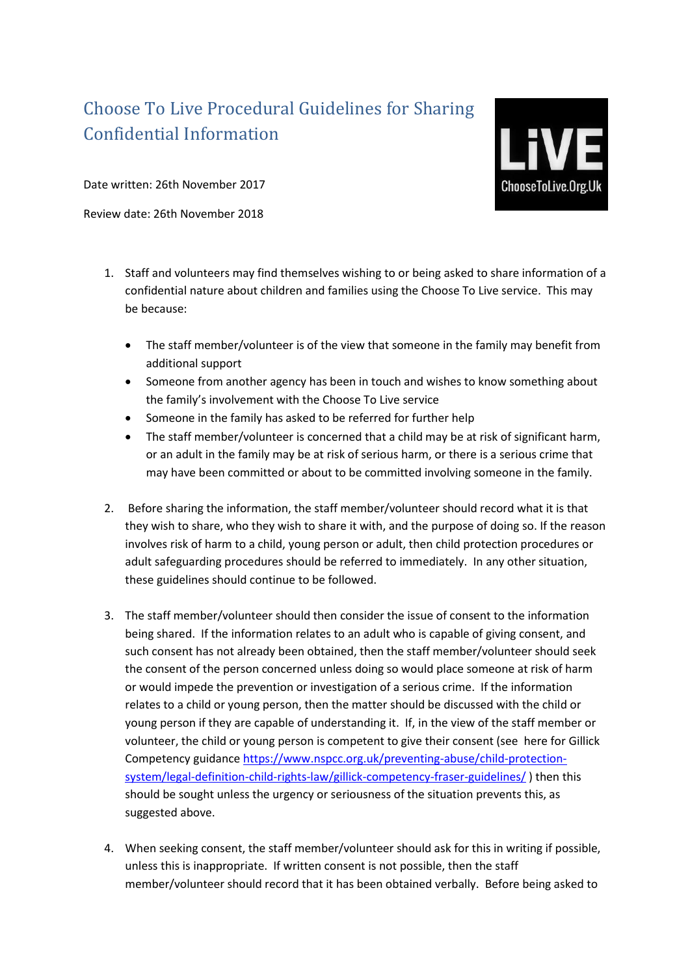## Choose To Live Procedural Guidelines for Sharing Confidential Information



Date written: 26th November 2017

Review date: 26th November 2018

- 1. Staff and volunteers may find themselves wishing to or being asked to share information of a confidential nature about children and families using the Choose To Live service. This may be because:
	- The staff member/volunteer is of the view that someone in the family may benefit from additional support
	- Someone from another agency has been in touch and wishes to know something about the family's involvement with the Choose To Live service
	- Someone in the family has asked to be referred for further help
	- The staff member/volunteer is concerned that a child may be at risk of significant harm, or an adult in the family may be at risk of serious harm, or there is a serious crime that may have been committed or about to be committed involving someone in the family.
- 2. Before sharing the information, the staff member/volunteer should record what it is that they wish to share, who they wish to share it with, and the purpose of doing so. If the reason involves risk of harm to a child, young person or adult, then child protection procedures or adult safeguarding procedures should be referred to immediately. In any other situation, these guidelines should continue to be followed.
- 3. The staff member/volunteer should then consider the issue of consent to the information being shared. If the information relates to an adult who is capable of giving consent, and such consent has not already been obtained, then the staff member/volunteer should seek the consent of the person concerned unless doing so would place someone at risk of harm or would impede the prevention or investigation of a serious crime. If the information relates to a child or young person, then the matter should be discussed with the child or young person if they are capable of understanding it. If, in the view of the staff member or volunteer, the child or young person is competent to give their consent (see here for Gillick Competency guidanc[e https://www.nspcc.org.uk/preventing-abuse/child-protection](https://www.nspcc.org.uk/preventing-abuse/child-protection-system/legal-definition-child-rights-law/gillick-competency-fraser-guidelines/)[system/legal-definition-child-rights-law/gillick-competency-fraser-guidelines/](https://www.nspcc.org.uk/preventing-abuse/child-protection-system/legal-definition-child-rights-law/gillick-competency-fraser-guidelines/) ) then this should be sought unless the urgency or seriousness of the situation prevents this, as suggested above.
- 4. When seeking consent, the staff member/volunteer should ask for this in writing if possible, unless this is inappropriate. If written consent is not possible, then the staff member/volunteer should record that it has been obtained verbally. Before being asked to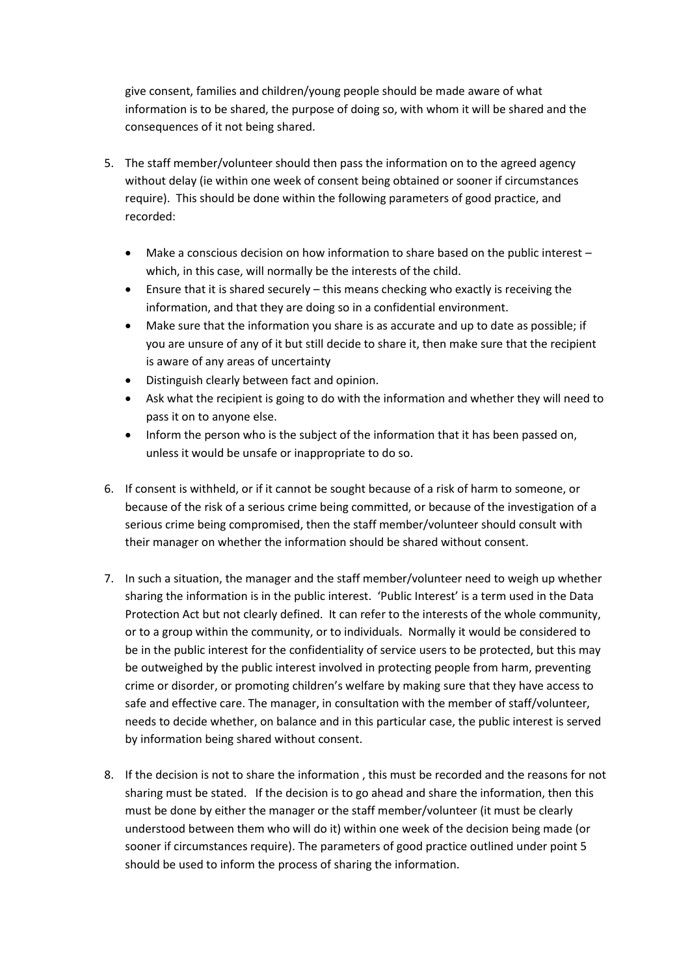give consent, families and children/young people should be made aware of what information is to be shared, the purpose of doing so, with whom it will be shared and the consequences of it not being shared.

- 5. The staff member/volunteer should then pass the information on to the agreed agency without delay (ie within one week of consent being obtained or sooner if circumstances require). This should be done within the following parameters of good practice, and recorded:
	- Make a conscious decision on how information to share based on the public interest  $$ which, in this case, will normally be the interests of the child.
	- Ensure that it is shared securely this means checking who exactly is receiving the information, and that they are doing so in a confidential environment.
	- Make sure that the information you share is as accurate and up to date as possible; if you are unsure of any of it but still decide to share it, then make sure that the recipient is aware of any areas of uncertainty
	- Distinguish clearly between fact and opinion.
	- Ask what the recipient is going to do with the information and whether they will need to pass it on to anyone else.
	- Inform the person who is the subject of the information that it has been passed on, unless it would be unsafe or inappropriate to do so.
- 6. If consent is withheld, or if it cannot be sought because of a risk of harm to someone, or because of the risk of a serious crime being committed, or because of the investigation of a serious crime being compromised, then the staff member/volunteer should consult with their manager on whether the information should be shared without consent.
- 7. In such a situation, the manager and the staff member/volunteer need to weigh up whether sharing the information is in the public interest. 'Public Interest' is a term used in the Data Protection Act but not clearly defined. It can refer to the interests of the whole community, or to a group within the community, or to individuals. Normally it would be considered to be in the public interest for the confidentiality of service users to be protected, but this may be outweighed by the public interest involved in protecting people from harm, preventing crime or disorder, or promoting children's welfare by making sure that they have access to safe and effective care. The manager, in consultation with the member of staff/volunteer, needs to decide whether, on balance and in this particular case, the public interest is served by information being shared without consent.
- 8. If the decision is not to share the information , this must be recorded and the reasons for not sharing must be stated. If the decision is to go ahead and share the information, then this must be done by either the manager or the staff member/volunteer (it must be clearly understood between them who will do it) within one week of the decision being made (or sooner if circumstances require). The parameters of good practice outlined under point 5 should be used to inform the process of sharing the information.